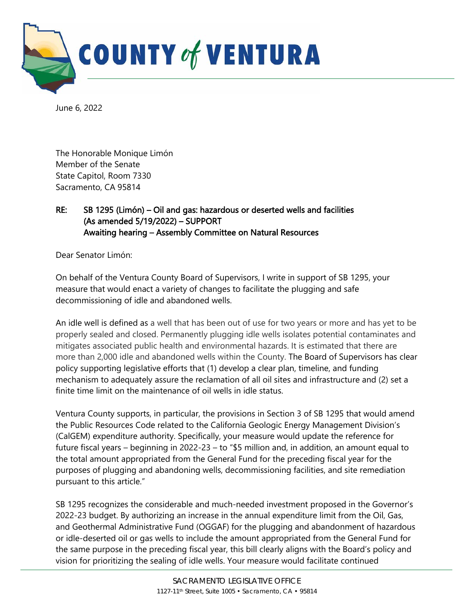

June 6, 2022

The Honorable Monique Limón Member of the Senate State Capitol, Room 7330 Sacramento, CA 95814

## RE: SB 1295 (Limón) – Oil and gas: hazardous or deserted wells and facilities (As amended 5/19/2022) – SUPPORT Awaiting hearing – Assembly Committee on Natural Resources

Dear Senator Limón:

On behalf of the Ventura County Board of Supervisors, I write in support of SB 1295, your measure that would enact a variety of changes to facilitate the plugging and safe decommissioning of idle and abandoned wells.

An idle well is defined as a well that has been out of use for two years or more and has yet to be properly sealed and closed. Permanently plugging idle wells isolates potential contaminates and mitigates associated public health and environmental hazards. It is estimated that there are more than 2,000 idle and abandoned wells within the County. The Board of Supervisors has clear policy supporting legislative efforts that (1) develop a clear plan, timeline, and funding mechanism to adequately assure the reclamation of all oil sites and infrastructure and (2) set a finite time limit on the maintenance of oil wells in idle status.

Ventura County supports, in particular, the provisions in Section 3 of SB 1295 that would amend the Public Resources Code related to the California Geologic Energy Management Division's (CalGEM) expenditure authority. Specifically, your measure would update the reference for future fiscal years – beginning in 2022-23 – to "\$5 million and, in addition, an amount equal to the total amount appropriated from the General Fund for the preceding fiscal year for the purposes of plugging and abandoning wells, decommissioning facilities, and site remediation pursuant to this article."

SB 1295 recognizes the considerable and much-needed investment proposed in the Governor's 2022-23 budget. By authorizing an increase in the annual expenditure limit from the Oil, Gas, and Geothermal Administrative Fund (OGGAF) for the plugging and abandonment of hazardous or idle-deserted oil or gas wells to include the amount appropriated from the General Fund for the same purpose in the preceding fiscal year, this bill clearly aligns with the Board's policy and vision for prioritizing the sealing of idle wells. Your measure would facilitate continued